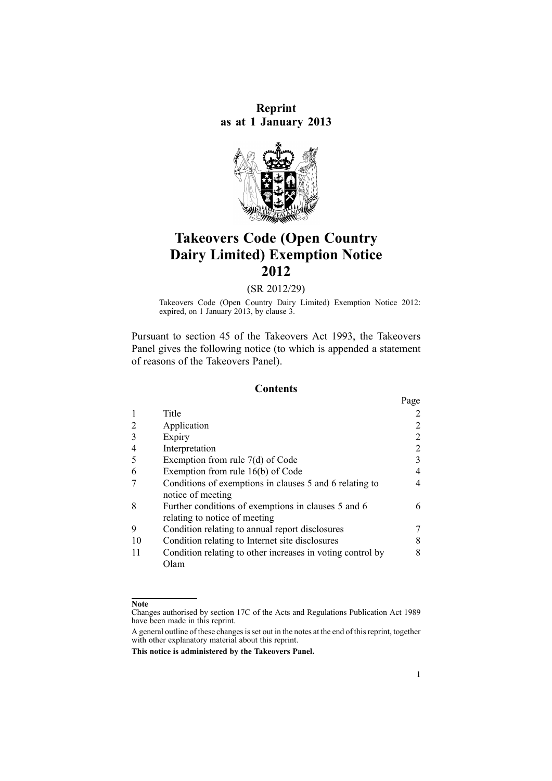**Reprint as at 1 January 2013**



# **Takeovers Code (Open Country Dairy Limited) Exemption Notice 2012**

(SR 2012/29)

Takeovers Code (Open Country Dairy Limited) Exemption Notice 2012: expired, on 1 January 2013, by [clause](#page-1-0) 3.

Pursuant to [section](http://www.legislation.govt.nz/pdflink.aspx?id=DLM326754) 45 of the Takeovers Act 1993, the Takeovers Panel gives the following notice (to which is appended <sup>a</sup> [statement](#page-9-0) of [reasons](#page-9-0) of the Takeovers Panel).

#### **Contents**

|    |                                                                                      | Page |
|----|--------------------------------------------------------------------------------------|------|
|    | Title                                                                                |      |
|    | Application                                                                          | 2    |
| 3  | Expiry                                                                               | 2    |
|    | Interpretation                                                                       | 2    |
| 5  | Exemption from rule $7(d)$ of Code                                                   | 3    |
| 6  | Exemption from rule 16(b) of Code                                                    | 4    |
|    | Conditions of exemptions in clauses 5 and 6 relating to<br>notice of meeting         | 4    |
| 8  | Further conditions of exemptions in clauses 5 and 6<br>relating to notice of meeting | 6    |
| 9  | Condition relating to annual report disclosures                                      | 7    |
| 10 | Condition relating to Internet site disclosures                                      | 8    |
|    | Condition relating to other increases in voting control by<br>Olam                   | 8    |

#### **Note**

Changes authorised by [section](http://www.legislation.govt.nz/pdflink.aspx?id=DLM195466) 17C of the Acts and Regulations Publication Act 1989 have been made in this reprint.

A general outline of these changes is set out in the notes at the end of this reprint, together with other explanatory material about this reprint.

**This notice is administered by the Takeovers Panel.**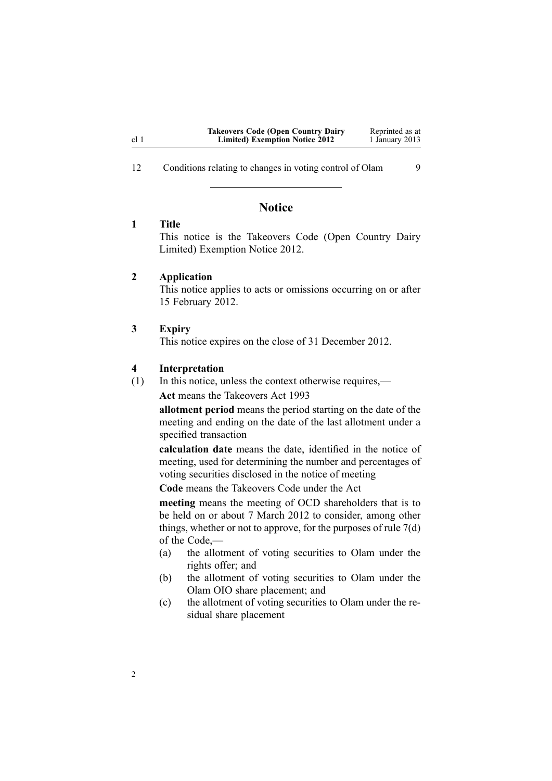<span id="page-1-0"></span>12 [Conditions](#page-8-0) relating to changes in voting control of Olam [9](#page-8-0)

## **Notice**

## **1 Title**

This notice is the Takeovers Code (Open Country Dairy Limited) Exemption Notice 2012.

## **2 Application**

This notice applies to acts or omissions occurring on or after 15 February 2012.

#### **3 Expiry**

2

This notice expires on the close of 31 December 2012.

#### **4 Interpretation**

(1) In this notice, unless the context otherwise requires,—

**Act** means the [Takeovers](http://www.legislation.govt.nz/pdflink.aspx?id=DLM325508) Act 1993

**allotment period** means the period starting on the date of the meeting and ending on the date of the last allotment under <sup>a</sup> specified transaction

**calculation date** means the date, identified in the notice of meeting, used for determining the number and percentages of voting securities disclosed in the notice of meeting

**Code** means the [Takeovers](http://www.legislation.govt.nz/pdflink.aspx?id=DLM10100) Code under the [Act](http://www.legislation.govt.nz/pdflink.aspx?id=DLM325508)

**meeting** means the meeting of OCD shareholders that is to be held on or about 7 March 2012 to consider, among other things, whether or not to approve, for the purposes of rule [7\(d\)](http://www.legislation.govt.nz/pdflink.aspx?id=DLM10311) of the Code,—

- (a) the allotment of voting securities to Olam under the rights offer; and
- (b) the allotment of voting securities to Olam under the Olam OIO share placement; and
- (c) the allotment of voting securities to Olam under the residual share placement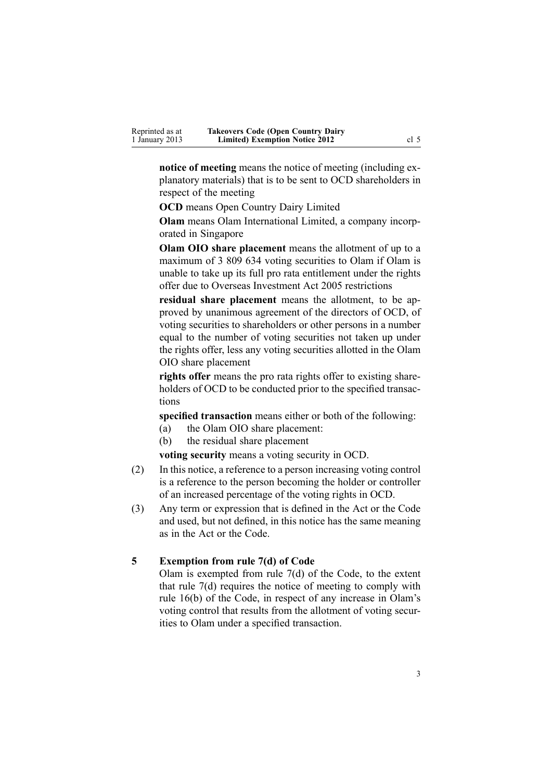<span id="page-2-0"></span>**notice of meeting** means the notice of meeting (including explanatory materials) that is to be sent to OCD shareholders in respec<sup>t</sup> of the meeting

**OCD** means Open Country Dairy Limited

**Olam** means Olam International Limited, <sup>a</sup> company incorporated in Singapore

**Olam OIO share placement** means the allotment of up to <sup>a</sup> maximum of 3 809 634 voting securities to Olam if Olam is unable to take up its full pro rata entitlement under the rights offer due to Overseas [Investment](http://www.legislation.govt.nz/pdflink.aspx?id=DLM356880) Act 2005 restrictions

**residual share placement** means the allotment, to be approved by unanimous agreemen<sup>t</sup> of the directors of OCD, of voting securities to shareholders or other persons in <sup>a</sup> number equal to the number of voting securities not taken up under the rights offer, less any voting securities allotted in the Olam OIO share placement

**rights offer** means the pro rata rights offer to existing shareholders of OCD to be conducted prior to the specified transactions

**specified transaction** means either or both of the following:

- (a) the Olam OIO share placement:
- (b) the residual share placement

**voting security** means <sup>a</sup> voting security in OCD.

- (2) In this notice, <sup>a</sup> reference to <sup>a</sup> person increasing voting control is <sup>a</sup> reference to the person becoming the holder or controller of an increased percentage of the voting rights in OCD.
- (3) Any term or expression that is defined in the [Act](http://www.legislation.govt.nz/pdflink.aspx?id=DLM325508) or the [Code](http://www.legislation.govt.nz/pdflink.aspx?id=DLM10100) and used, but not defined, in this notice has the same meaning as in the Act or the Code.

## **5 Exemption from rule 7(d) of Code**

Olam is exempted from rule [7\(d\)](http://www.legislation.govt.nz/pdflink.aspx?id=DLM10311) of the Code, to the extent that rule 7(d) requires the notice of meeting to comply with rule [16\(b\)](http://www.legislation.govt.nz/pdflink.aspx?id=DLM10341) of the Code, in respec<sup>t</sup> of any increase in Olam's voting control that results from the allotment of voting securities to Olam under <sup>a</sup> specified transaction.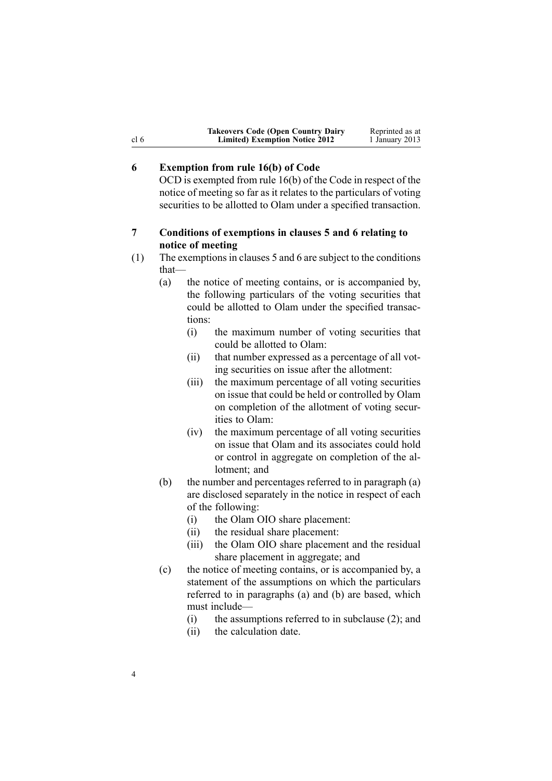| <b>Takeovers Code (Open Country Dairy</b> | Reprinted as at |
|-------------------------------------------|-----------------|
| <b>Limited) Exemption Notice 2012</b>     | 1 January 2013  |

## **6 Exemption from rule 16(b) of Code**

<span id="page-3-0"></span>cl 6

OCD is exempted from rule [16\(b\)](http://www.legislation.govt.nz/pdflink.aspx?id=DLM10341) of the Code in respec<sup>t</sup> of the notice of meeting so far as it relates to the particulars of voting securities to be allotted to Olam under <sup>a</sup> specified transaction.

## **7 Conditions of exemptions in clauses 5 and 6 relating to notice of meeting**

(1) The exemptions in [clauses](#page-2-0) 5 and 6 are subject to the conditions that—

- (a) the notice of meeting contains, or is accompanied by, the following particulars of the voting securities that could be allotted to Olam under the specified transactions:
	- (i) the maximum number of voting securities that could be allotted to Olam:
	- (ii) that number expressed as <sup>a</sup> percentage of all voting securities on issue after the allotment:
	- (iii) the maximum percentage of all voting securities on issue that could be held or controlled by Olam on completion of the allotment of voting securities to Olam:
	- (iv) the maximum percentage of all voting securities on issue that Olam and its associates could hold or control in aggregate on completion of the allotment; and
- (b) the number and percentages referred to in paragraph (a) are disclosed separately in the notice in respec<sup>t</sup> of each of the following:
	- (i) the Olam OIO share placement:
	- (ii) the residual share placement:
	- (iii) the Olam OIO share placement and the residual share placement in aggregate; and
- (c) the notice of meeting contains, or is accompanied by, <sup>a</sup> statement of the assumptions on which the particulars referred to in paragraphs (a) and (b) are based, which must include—
	- (i) the assumptions referred to in subclause (2); and
	- (ii) the calculation date.

4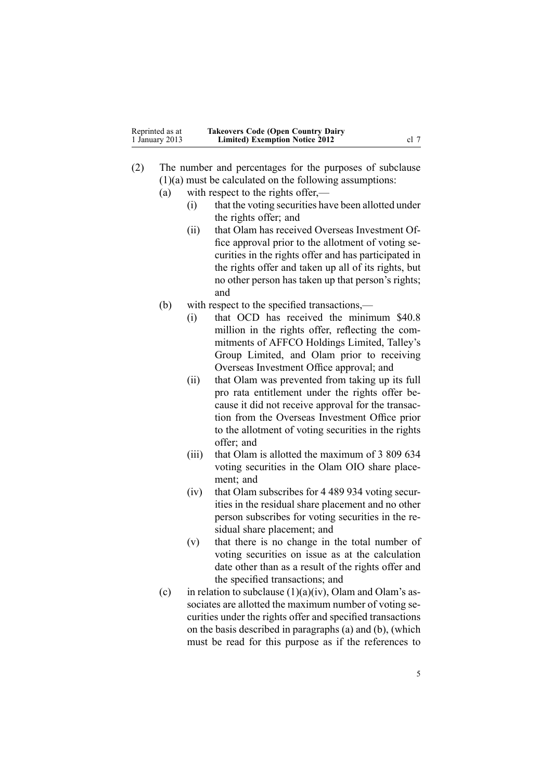| Reprinted as at | <b>Takeovers Code (Open Country Dairy</b> |      |
|-----------------|-------------------------------------------|------|
| 1 January 2013  | <b>Limited) Exemption Notice 2012</b>     | cl 7 |

- (2) The number and percentages for the purposes of subclause (1)(a) must be calculated on the following assumptions:
	- (a) with respec<sup>t</sup> to the rights offer,—
		- (i) that the voting securities have been allotted under the rights offer; and
		- (ii) that Olam has received Overseas Investment Office approval prior to the allotment of voting securities in the rights offer and has participated in the rights offer and taken up all of its rights, but no other person has taken up that person's rights; and
	- (b) with respec<sup>t</sup> to the specified transactions,—
		- (i) that OCD has received the minimum \$40.8 million in the rights offer, reflecting the commitments of AFFCO Holdings Limited, Talley's Group Limited, and Olam prior to receiving Overseas Investment Office approval; and
		- (ii) that Olam was prevented from taking up its full pro rata entitlement under the rights offer because it did not receive approval for the transaction from the Overseas Investment Office prior to the allotment of voting securities in the rights offer; and
		- (iii) that Olam is allotted the maximum of 3 809 634 voting securities in the Olam OIO share placement; and
		- (iv) that Olam subscribes for 4 489 934 voting securities in the residual share placement and no other person subscribes for voting securities in the residual share placement; and
		- (v) that there is no change in the total number of voting securities on issue as at the calculation date other than as <sup>a</sup> result of the rights offer and the specified transactions; and
	- (c) in relation to subclause  $(1)(a)(iv)$ , Olam and Olam's associates are allotted the maximum number of voting securities under the rights offer and specified transactions on the basis described in paragraphs (a) and (b), (which must be read for this purpose as if the references to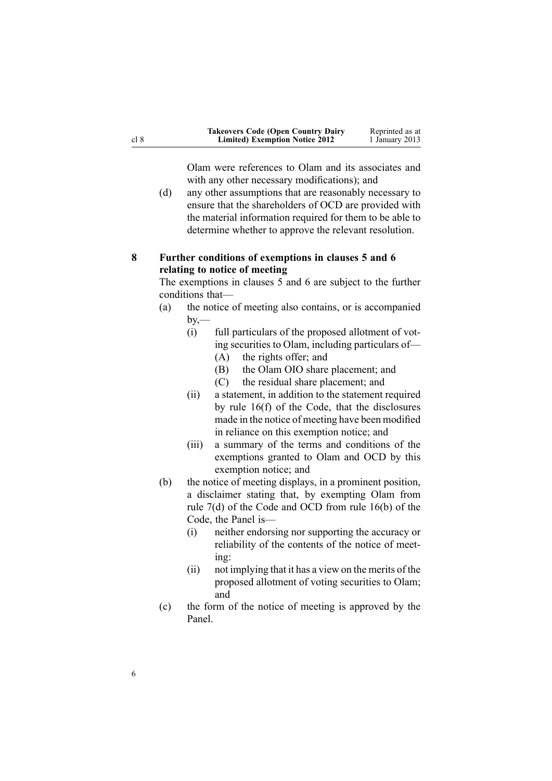<span id="page-5-0"></span>

| <b>Takeovers Code (Open Country Dairy</b> | Reprinted as at |
|-------------------------------------------|-----------------|
| <b>Limited) Exemption Notice 2012</b>     | 1 January 2013  |

Olam were references to Olam and its associates and with any other necessary modifications); and

(d) any other assumptions that are reasonably necessary to ensure that the shareholders of OCD are provided with the material information required for them to be able to determine whether to approve the relevant resolution.

## **8 Further conditions of exemptions in clauses 5 and 6 relating to notice of meeting**

The exemptions in [clauses](#page-2-0) 5 and [6](#page-3-0) are subject to the further conditions that—

- (a) the notice of meeting also contains, or is accompanied  $by -$ 
	- (i) full particulars of the proposed allotment of voting securities to Olam, including particulars of—
		- (A) the rights offer; and
		- (B) the Olam OIO share placement; and
		- (C) the residual share placement; and
	- (ii) <sup>a</sup> statement, in addition to the statement required by rule [16\(f\)](http://www.legislation.govt.nz/pdflink.aspx?id=DLM10341) of the Code, that the disclosures made in the notice of meeting have been modified in reliance on this exemption notice; and
	- (iii) <sup>a</sup> summary of the terms and conditions of the exemptions granted to Olam and OCD by this exemption notice; and
- (b) the notice of meeting displays, in <sup>a</sup> prominent position, <sup>a</sup> disclaimer stating that, by exempting Olam from rule [7\(d\)](http://www.legislation.govt.nz/pdflink.aspx?id=DLM10311) of the Code and OCD from rule [16\(b\)](http://www.legislation.govt.nz/pdflink.aspx?id=DLM10341) of the Code, the Panel is—
	- (i) neither endorsing nor supporting the accuracy or reliability of the contents of the notice of meeting:
	- (ii) not implying that it has <sup>a</sup> view on the merits of the proposed allotment of voting securities to Olam; and
- (c) the form of the notice of meeting is approved by the Panel.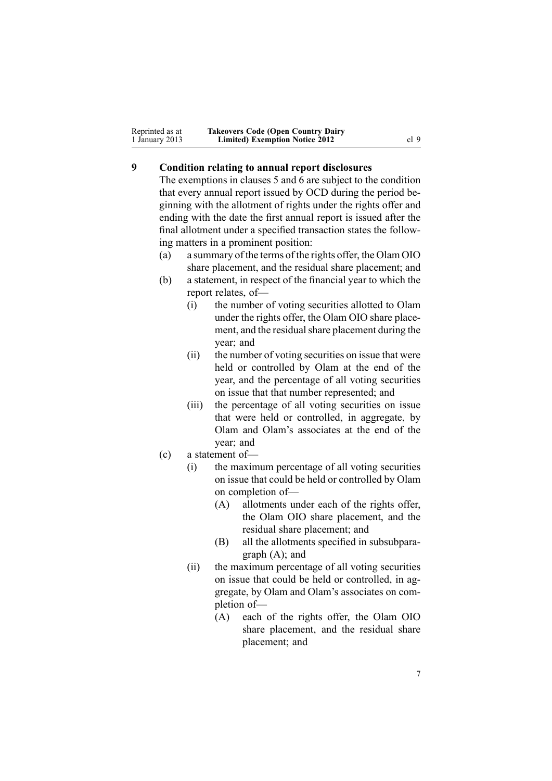<span id="page-6-0"></span>

| Reprinted as at | <b>Takeovers Code (Open Country Dairy</b> |      |
|-----------------|-------------------------------------------|------|
| 1 January 2013  | <b>Limited) Exemption Notice 2012</b>     | cl 9 |

# **9 Condition relating to annual report disclosures**

The exemptions in [clauses](#page-2-0) 5 and [6](#page-3-0) are subject to the condition that every annual repor<sup>t</sup> issued by OCD during the period beginning with the allotment of rights under the rights offer and ending with the date the first annual repor<sup>t</sup> is issued after the final allotment under <sup>a</sup> specified transaction states the following matters in <sup>a</sup> prominent position:

- (a) <sup>a</sup> summary of the terms of the rights offer, the Olam OIO share placement, and the residual share placement; and
- (b) <sup>a</sup> statement, in respec<sup>t</sup> of the financial year to which the repor<sup>t</sup> relates, of—
	- (i) the number of voting securities allotted to Olam under the rights offer, the Olam OIO share placement, and the residual share placement during the year; and
	- (ii) the number of voting securities on issue that were held or controlled by Olam at the end of the year, and the percentage of all voting securities on issue that that number represented; and
	- (iii) the percentage of all voting securities on issue that were held or controlled, in aggregate, by Olam and Olam's associates at the end of the year; and
- (c) <sup>a</sup> statement of—
	- (i) the maximum percentage of all voting securities on issue that could be held or controlled by Olam on completion of—
		- (A) allotments under each of the rights offer, the Olam OIO share placement, and the residual share placement; and
		- (B) all the allotments specified in subsubparagraph (A); and
	- (ii) the maximum percentage of all voting securities on issue that could be held or controlled, in aggregate, by Olam and Olam's associates on completion of—
		- (A) each of the rights offer, the Olam OIO share placement, and the residual share placement; and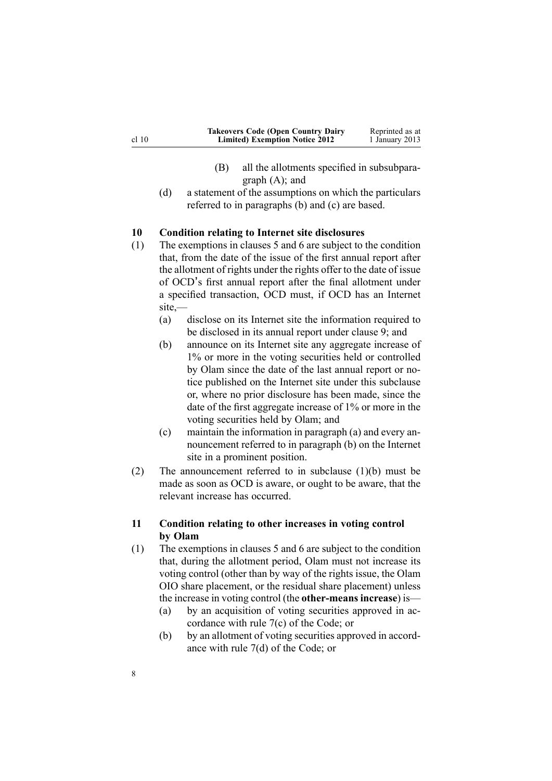<span id="page-7-0"></span>

| <b>Takeovers Code (Open Country Dairy</b> | Reprinted as at |
|-------------------------------------------|-----------------|
| <b>Limited) Exemption Notice 2012</b>     | 1 January 2013  |

- (B) all the allotments specified in subsubparagraph (A); and
- (d) <sup>a</sup> statement of the assumptions on which the particulars referred to in paragraphs (b) and (c) are based.

## **10 Condition relating to Internet site disclosures**

- (1) The exemptions in [clauses](#page-2-0) 5 and [6](#page-3-0) are subject to the condition that, from the date of the issue of the first annual repor<sup>t</sup> after the allotment of rights under the rights offer to the date of issue of OCD<sup>&#</sup>x27;<sup>s</sup> first annual repor<sup>t</sup> after the final allotment under <sup>a</sup> specified transaction, OCD must, if OCD has an Internet site,—
	- (a) disclose on its Internet site the information required to be disclosed in its annual repor<sup>t</sup> under [clause](#page-6-0) 9; and
	- (b) announce on its Internet site any aggregate increase of 1% or more in the voting securities held or controlled by Olam since the date of the last annual repor<sup>t</sup> or notice published on the Internet site under this subclause or, where no prior disclosure has been made, since the date of the first aggregate increase of 1% or more in the voting securities held by Olam; and
	- (c) maintain the information in paragraph (a) and every announcement referred to in paragraph (b) on the Internet site in <sup>a</sup> prominent position.
- (2) The announcement referred to in subclause (1)(b) must be made as soon as OCD is aware, or ought to be aware, that the relevant increase has occurred.

## **11 Condition relating to other increases in voting control by Olam**

- (1) The exemptions in [clauses](#page-2-0) 5 and [6](#page-3-0) are subject to the condition that, during the allotment period, Olam must not increase its voting control (other than by way of the rights issue, the Olam OIO share placement, or the residual share placement) unless the increase in voting control (the **other-means increase**) is—
	- (a) by an acquisition of voting securities approved in accordance with rule [7\(c\)](http://www.legislation.govt.nz/pdflink.aspx?id=DLM10311) of the Code; or
	- (b) by an allotment of voting securities approved in accordance with rule [7\(d\)](http://www.legislation.govt.nz/pdflink.aspx?id=DLM10311) of the Code; or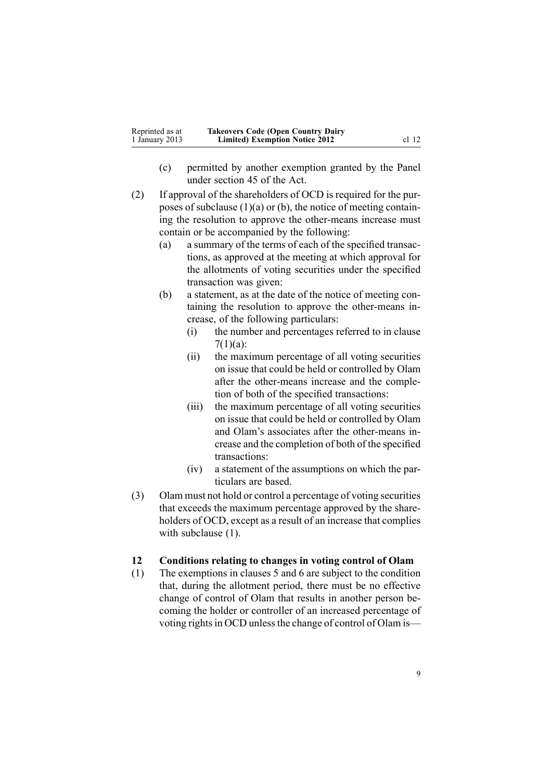<span id="page-8-0"></span>

| Reprinted as at | <b>Takeovers Code (Open Country Dairy</b> |         |
|-----------------|-------------------------------------------|---------|
| 1 January 2013  | <b>Limited) Exemption Notice 2012</b>     | $cl$ 12 |

- (c) permitted by another exemption granted by the Panel under [section](http://www.legislation.govt.nz/pdflink.aspx?id=DLM326754) 45 of the Act.
- (2) If approval of the shareholders of OCD is required for the purposes of subclause  $(1)(a)$  or  $(b)$ , the notice of meeting containing the resolution to approve the other-means increase must contain or be accompanied by the following:
	- (a) <sup>a</sup> summary of the terms of each of the specified transactions, as approved at the meeting at which approval for the allotments of voting securities under the specified transaction was given:
	- (b) <sup>a</sup> statement, as at the date of the notice of meeting containing the resolution to approve the other-means increase, of the following particulars:
		- (i) the number and percentages referred to in [clause](#page-3-0)  $7(1)(a)$ :
		- (ii) the maximum percentage of all voting securities on issue that could be held or controlled by Olam after the other-means increase and the completion of both of the specified transactions:
		- (iii) the maximum percentage of all voting securities on issue that could be held or controlled by Olam and Olam's associates after the other-means increase and the completion of both of the specified transactions:
		- (iv) <sup>a</sup> statement of the assumptions on which the particulars are based.
- (3) Olam must not hold or control <sup>a</sup> percentage of voting securities that exceeds the maximum percentage approved by the shareholders of OCD, excep<sup>t</sup> as <sup>a</sup> result of an increase that complies with subclause  $(1)$ .

## **12 Conditions relating to changes in voting control of Olam**

(1) The exemptions in [clauses](#page-2-0) 5 and [6](#page-3-0) are subject to the condition that, during the allotment period, there must be no effective change of control of Olam that results in another person becoming the holder or controller of an increased percentage of voting rights in OCD unless the change of control of Olam is—

9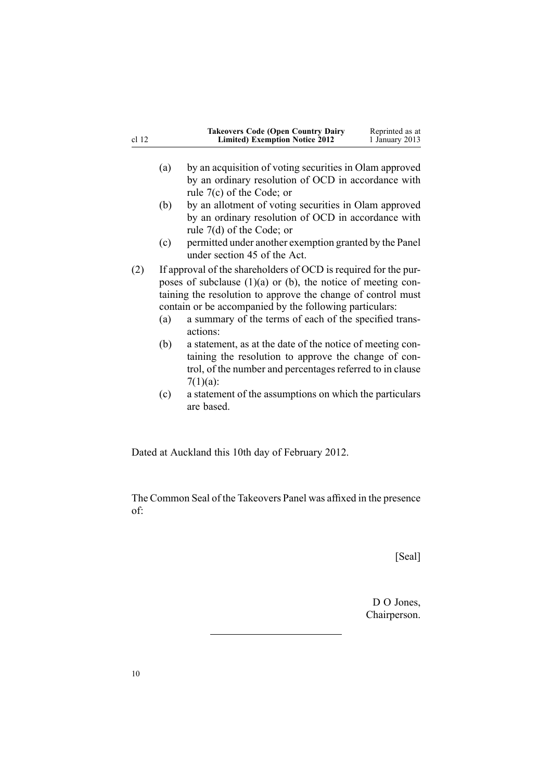<span id="page-9-0"></span>

| cl <sub>12</sub> |            | <b>Takeovers Code (Open Country Dairy</b><br><b>Limited) Exemption Notice 2012</b>                                                                                                                                                                                                                                                                                                                                                                         | Reprinted as at<br>1 January 2013 |
|------------------|------------|------------------------------------------------------------------------------------------------------------------------------------------------------------------------------------------------------------------------------------------------------------------------------------------------------------------------------------------------------------------------------------------------------------------------------------------------------------|-----------------------------------|
|                  | (a)        | by an acquisition of voting securities in Olam approved<br>by an ordinary resolution of OCD in accordance with<br>rule $7(c)$ of the Code; or                                                                                                                                                                                                                                                                                                              |                                   |
|                  | (b)        | by an allotment of voting securities in Olam approved<br>by an ordinary resolution of OCD in accordance with<br>rule $7(d)$ of the Code; or                                                                                                                                                                                                                                                                                                                |                                   |
|                  | (c)        | permitted under another exemption granted by the Panel<br>under section 45 of the Act.                                                                                                                                                                                                                                                                                                                                                                     |                                   |
| (2)              | (a)<br>(b) | If approval of the shareholders of OCD is required for the pur-<br>poses of subclause $(1)(a)$ or $(b)$ , the notice of meeting con-<br>taining the resolution to approve the change of control must<br>contain or be accompanied by the following particulars:<br>a summary of the terms of each of the specified trans-<br>actions:<br>a statement, as at the date of the notice of meeting con-<br>taining the resolution to approve the change of con- |                                   |
|                  | (c)        | trol, of the number and percentages referred to in clause<br>$7(1)(a)$ :<br>a statement of the assumptions on which the particulars<br>are based.                                                                                                                                                                                                                                                                                                          |                                   |

Dated at Auckland this 10th day of February 2012.

The Common Seal of the Takeovers Panel was affixed in the presence of:

[Seal]

D O Jones, Chairperson.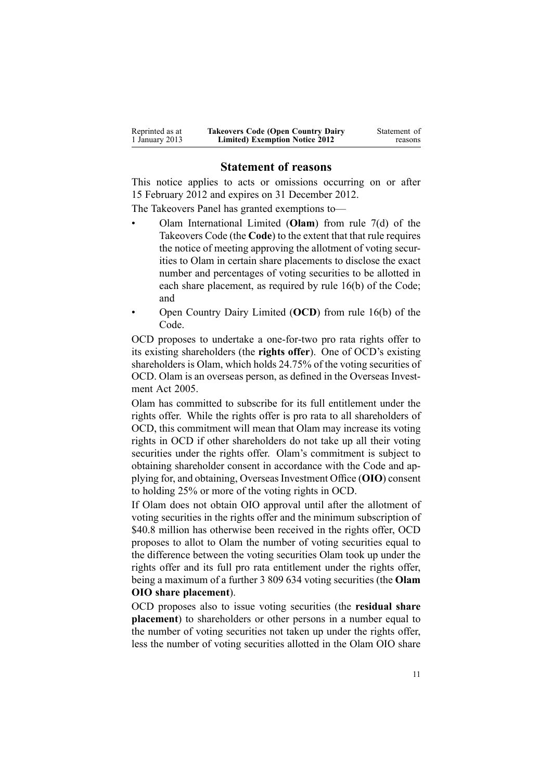| Reprinted as at | <b>Takeovers Code (Open Country Dairy</b> | Statement of |
|-----------------|-------------------------------------------|--------------|
| 1 January 2013  | <b>Limited) Exemption Notice 2012</b>     | reasons      |

## **Statement of reasons**

This notice applies to acts or omissions occurring on or after 15 February 2012 and expires on 31 December 2012.

The Takeovers Panel has granted exemptions to—

- • Olam International Limited (**Olam**) from rule [7\(d\)](http://www.legislation.govt.nz/pdflink.aspx?id=DLM10311) of the Takeovers Code (the **Code**) to the extent that that rule requires the notice of meeting approving the allotment of voting securities to Olam in certain share placements to disclose the exact number and percentages of voting securities to be allotted in each share placement, as required by rule [16\(b\)](http://www.legislation.govt.nz/pdflink.aspx?id=DLM10341) of the Code; and
- • Open Country Dairy Limited (**OCD**) from rule [16\(b\)](http://www.legislation.govt.nz/pdflink.aspx?id=DLM10341) of the Code.

OCD proposes to undertake <sup>a</sup> one-for-two pro rata rights offer to its existing shareholders (the **rights offer**). One of OCD's existing shareholders is Olam, which holds 24.75% of the voting securities of OCD. Olam is an overseas person, as defined in the [Overseas](http://www.legislation.govt.nz/pdflink.aspx?id=DLM356880) Investment Act [2005](http://www.legislation.govt.nz/pdflink.aspx?id=DLM356880).

Olam has committed to subscribe for its full entitlement under the rights offer. While the rights offer is pro rata to all shareholders of OCD, this commitment will mean that Olam may increase its voting rights in OCD if other shareholders do not take up all their voting securities under the rights offer. Olam's commitment is subject to obtaining shareholder consent in accordance with the Code and applying for, and obtaining, Overseas Investment Office (OIO) consent to holding 25% or more of the voting rights in OCD.

If Olam does not obtain OIO approval until after the allotment of voting securities in the rights offer and the minimum subscription of \$40.8 million has otherwise been received in the rights offer, OCD proposes to allot to Olam the number of voting securities equal to the difference between the voting securities Olam took up under the rights offer and its full pro rata entitlement under the rights offer, being <sup>a</sup> maximum of <sup>a</sup> further 3 809 634 voting securities (the **Olam OIO share placement**).

OCD proposes also to issue voting securities (the **residual share placement**) to shareholders or other persons in a number equal to the number of voting securities not taken up under the rights offer, less the number of voting securities allotted in the Olam OIO share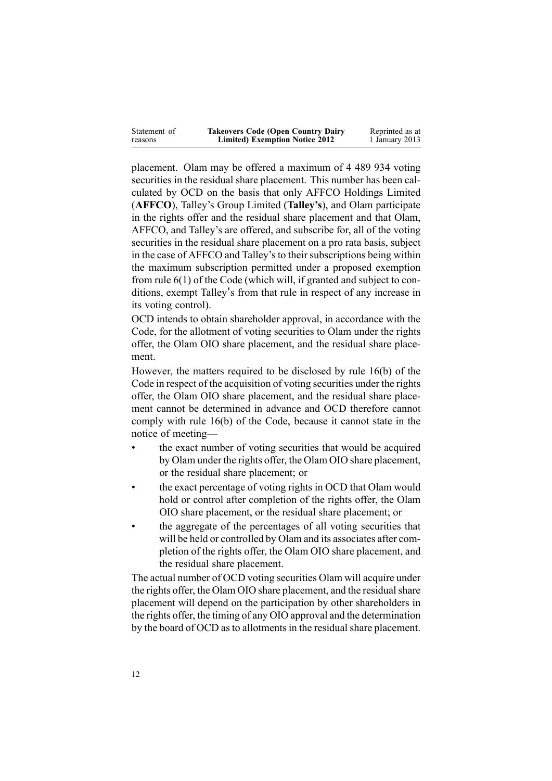| Statement of | <b>Takeovers Code (Open Country Dairy</b> | Reprinted as at |
|--------------|-------------------------------------------|-----------------|
| reasons      | <b>Limited) Exemption Notice 2012</b>     | 1 January 2013  |

placement. Olam may be offered <sup>a</sup> maximum of 4 489 934 voting securities in the residual share placement. This number has been calculated by OCD on the basis that only AFFCO Holdings Limited (**AFFCO**), Talley's Group Limited (**Talley's**), and Olam participate in the rights offer and the residual share placement and that Olam, AFFCO, and Talley's are offered, and subscribe for, all of the voting securities in the residual share placement on <sup>a</sup> pro rata basis, subject in the case of AFFCO and Talley's to their subscriptions being within the maximum subscription permitted under <sup>a</sup> proposed exemption from rule [6\(1\)](http://www.legislation.govt.nz/pdflink.aspx?id=DLM10310) of the Code (which will, if granted and subject to conditions, exemp<sup>t</sup> Talley<sup>&#</sup>x27;<sup>s</sup> from that rule in respec<sup>t</sup> of any increase in its voting control).

OCD intends to obtain shareholder approval, in accordance with the Code, for the allotment of voting securities to Olam under the rights offer, the Olam OIO share placement, and the residual share placement.

However, the matters required to be disclosed by rule [16\(b\)](http://www.legislation.govt.nz/pdflink.aspx?id=DLM10341) of the Code in respec<sup>t</sup> of the acquisition of voting securities under the rights offer, the Olam OIO share placement, and the residual share placement cannot be determined in advance and OCD therefore cannot comply with rule 16(b) of the Code, because it cannot state in the notice of meeting—

- • the exact number of voting securities that would be acquired by Olam under the rights offer, the Olam OIO share placement, or the residual share placement; or
- • the exact percentage of voting rights in OCD that Olam would hold or control after completion of the rights offer, the Olam OIO share placement, or the residual share placement; or
- • the aggregate of the percentages of all voting securities that will be held or controlled by Olam and its associates after completion of the rights offer, the Olam OIO share placement, and the residual share placement.

The actual number of OCD voting securities Olam will acquire under the rights offer, the Olam OIO share placement, and the residual share placement will depend on the participation by other shareholders in the rights offer, the timing of any OIO approval and the determination by the board of OCD as to allotments in the residual share placement.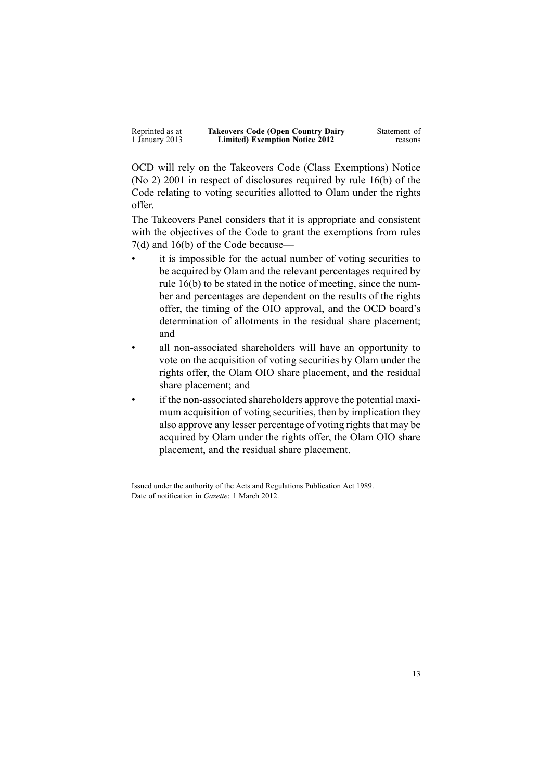| Reprinted as at | <b>Takeovers Code (Open Country Dairy</b> | Statement of |
|-----------------|-------------------------------------------|--------------|
| 1 January 2013  | <b>Limited) Exemption Notice 2012</b>     | reasons      |

OCD will rely on the Takeovers Code (Class [Exemptions\)](http://www.legislation.govt.nz/pdflink.aspx?id=DLM58763) Notice (No 2) [2001](http://www.legislation.govt.nz/pdflink.aspx?id=DLM58763) in respec<sup>t</sup> of disclosures required by rule [16\(b\)](http://www.legislation.govt.nz/pdflink.aspx?id=DLM10341) of the Code relating to voting securities allotted to Olam under the rights offer.

The Takeovers Panel considers that it is appropriate and consistent with the objectives of the Code to gran<sup>t</sup> the exemptions from [rules](http://www.legislation.govt.nz/pdflink.aspx?id=DLM10311) [7\(d\)](http://www.legislation.govt.nz/pdflink.aspx?id=DLM10311) and [16\(b\)](http://www.legislation.govt.nz/pdflink.aspx?id=DLM10341) of the Code because—

- • it is impossible for the actual number of voting securities to be acquired by Olam and the relevant percentages required by rule [16\(b\)](http://www.legislation.govt.nz/pdflink.aspx?id=DLM10341) to be stated in the notice of meeting, since the number and percentages are dependent on the results of the rights offer, the timing of the OIO approval, and the OCD board's determination of allotments in the residual share placement; and
- • all non-associated shareholders will have an opportunity to vote on the acquisition of voting securities by Olam under the rights offer, the Olam OIO share placement, and the residual share placement; and
- • if the non-associated shareholders approve the potential maximum acquisition of voting securities, then by implication they also approve any lesser percentage of voting rights that may be acquired by Olam under the rights offer, the Olam OIO share placement, and the residual share placement.

Issued under the authority of the Acts and [Regulations](http://www.legislation.govt.nz/pdflink.aspx?id=DLM195097) Publication Act 1989. Date of notification in *Gazette*: 1 March 2012.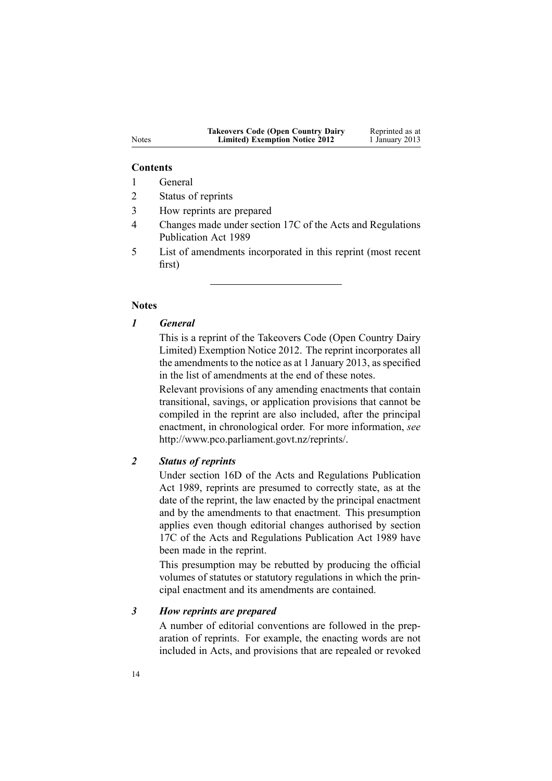#### **Contents**

- 1 General
- 2 Status of reprints
- 3 How reprints are prepared
- 4 Changes made under section 17C of the Acts and Regulations Publication Act 1989
- 5 List of amendments incorporated in this reprint (most recent first)

#### **Notes**

## *1 General*

This is <sup>a</sup> reprint of the Takeovers Code (Open Country Dairy Limited) Exemption Notice 2012. The reprint incorporates all the amendments to the notice as at 1 January 2013, as specified in the list of amendments at the end of these notes.

Relevant provisions of any amending enactments that contain transitional, savings, or application provisions that cannot be compiled in the reprint are also included, after the principal enactment, in chronological order. For more information, *see* <http://www.pco.parliament.govt.nz/reprints/>.

## *2 Status of reprints*

Under [section](http://www.legislation.govt.nz/pdflink.aspx?id=DLM195439) 16D of the Acts and Regulations Publication Act 1989, reprints are presumed to correctly state, as at the date of the reprint, the law enacted by the principal enactment and by the amendments to that enactment. This presumption applies even though editorial changes authorised by [section](http://www.legislation.govt.nz/pdflink.aspx?id=DLM195466) [17C](http://www.legislation.govt.nz/pdflink.aspx?id=DLM195466) of the Acts and Regulations Publication Act 1989 have been made in the reprint.

This presumption may be rebutted by producing the official volumes of statutes or statutory regulations in which the principal enactment and its amendments are contained.

#### *3 How reprints are prepared*

A number of editorial conventions are followed in the preparation of reprints. For example, the enacting words are not included in Acts, and provisions that are repealed or revoked

Notes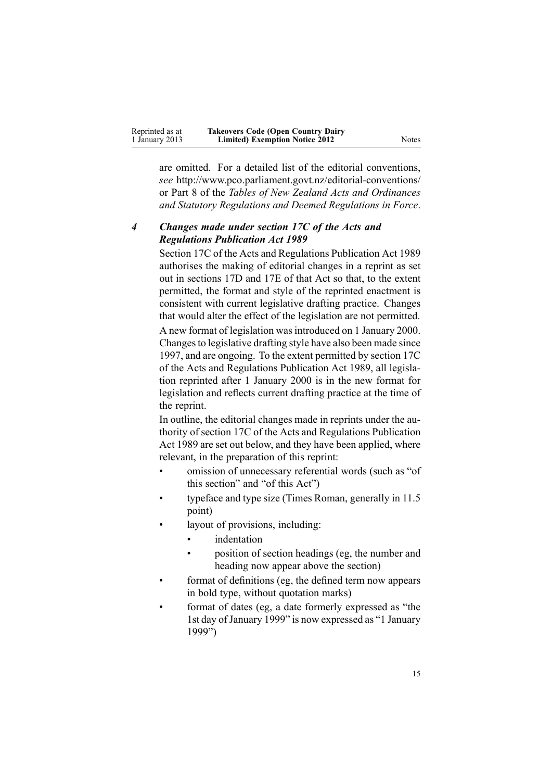| Reprinted as at | <b>Takeovers Code (Open Country Dairy</b> |       |
|-----------------|-------------------------------------------|-------|
| 1 January 2013  | <b>Limited) Exemption Notice 2012</b>     | Notes |

are omitted. For <sup>a</sup> detailed list of the editorial conventions, *see* [http://www.pco.parliament.govt.nz/editorial-conventions/](http://www.pco.parliament.govt.nz/editorial-conventions/ ) or Part 8 of the *Tables of New Zealand Acts and Ordinances and Statutory Regulations and Deemed Regulations in Force*.

## *4 Changes made under section 17C of the Acts and Regulations Publication Act 1989*

[Section](http://www.legislation.govt.nz/pdflink.aspx?id=DLM195466) 17C of the Acts and Regulations Publication Act 1989 authorises the making of editorial changes in <sup>a</sup> reprint as set out in [sections](http://www.legislation.govt.nz/pdflink.aspx?id=DLM195468) 17D and [17E](http://www.legislation.govt.nz/pdflink.aspx?id=DLM195470) of that Act so that, to the extent permitted, the format and style of the reprinted enactment is consistent with current legislative drafting practice. Changes that would alter the effect of the legislation are not permitted.

A new format of legislation wasintroduced on 1 January 2000. Changesto legislative drafting style have also been made since 1997, and are ongoing. To the extent permitted by [section](http://www.legislation.govt.nz/pdflink.aspx?id=DLM195466) 17C of the Acts and Regulations Publication Act 1989, all legislation reprinted after 1 January 2000 is in the new format for legislation and reflects current drafting practice at the time of the reprint.

In outline, the editorial changes made in reprints under the authority of [section](http://www.legislation.govt.nz/pdflink.aspx?id=DLM195466) 17C of the Acts and Regulations Publication Act 1989 are set out below, and they have been applied, where relevant, in the preparation of this reprint:

- • omission of unnecessary referential words (such as "of this section" and "of this Act")
- • typeface and type size (Times Roman, generally in 11.5 point)
- • layout of provisions, including:
	- •indentation
	- • position of section headings (eg, the number and heading now appear above the section)
- • format of definitions (eg, the defined term now appears in bold type, without quotation marks)
- • format of dates (eg, <sup>a</sup> date formerly expressed as "the 1st day ofJanuary 1999" is now expressed as "1 January 1999")

15